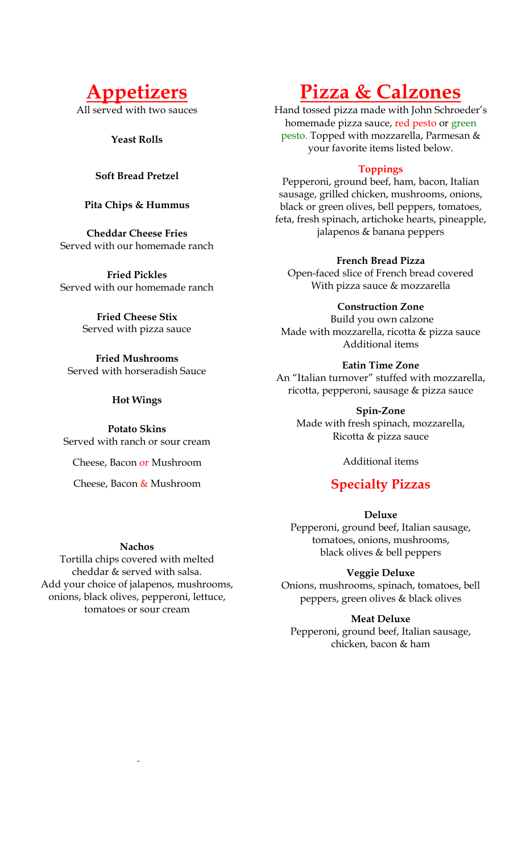

All served with two sauces

**Yeast Rolls**

## **Soft Bread Pretzel**

## **Pita Chips & Hummus**

**Cheddar Cheese Fries**  Served with our homemade ranch

**Fried Pickles**  Served with our homemade ranch

> **Fried Cheese Stix**  Served with pizza sauce

**Fried Mushrooms**  Served with horseradish Sauce

#### **Hot Wings**

**Potato Skins** Served with ranch or sour cream

Cheese, Bacon or Mushroom

Cheese, Bacon & Mushroom

#### **Nachos**

Tortilla chips covered with melted cheddar & served with salsa. Add your choice of jalapenos, mushrooms, onions, black olives, pepperoni, lettuce, tomatoes or sour cream

# **Pizza & Calzones**

Hand tossed pizza made with John Schroeder's homemade pizza sauce, red pesto or green pesto. Topped with mozzarella, Parmesan & your favorite items listed below.

## **Toppings**

Pepperoni, ground beef, ham, bacon, Italian sausage, grilled chicken, mushrooms, onions, black or green olives, bell peppers, tomatoes, feta, fresh spinach, artichoke hearts, pineapple, jalapenos & banana peppers

#### **French Bread Pizza**

Open-faced slice of French bread covered With pizza sauce & mozzarella

**Construction Zone**

Build you own calzone Made with mozzarella, ricotta & pizza sauce Additional items

#### **Eatin Time Zone**

An "Italian turnover" stuffed with mozzarella, ricotta, pepperoni, sausage & pizza sauce

**Spin-Zone**  Made with fresh spinach, mozzarella, Ricotta & pizza sauce

Additional items

## **Specialty Pizzas**

**Deluxe**

Pepperoni, ground beef, Italian sausage, tomatoes, onions, mushrooms, black olives & bell peppers

## **Veggie Deluxe**

Onions, mushrooms, spinach, tomatoes, bell peppers, green olives & black olives

**Meat Deluxe**

Pepperoni, ground beef, Italian sausage, chicken, bacon & ham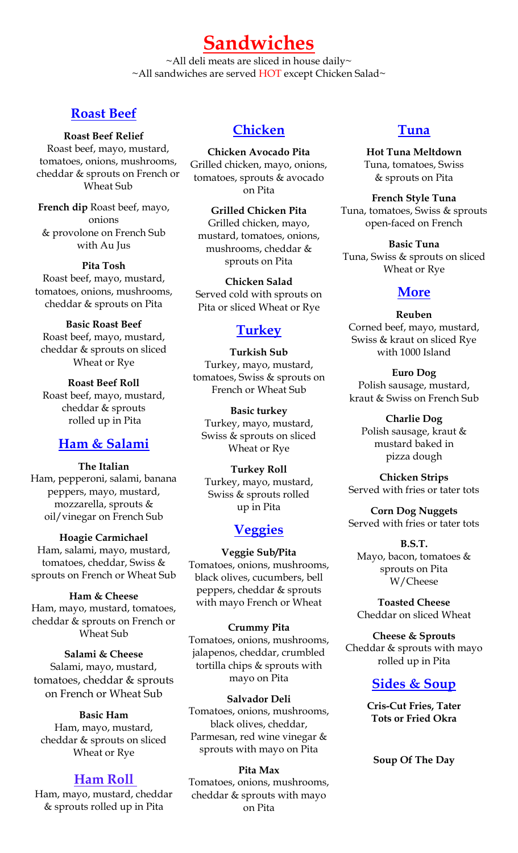**Sandwiches** ~All deli meats are sliced in house daily~

~All sandwiches are served HOT except Chicken Salad~

## **Roast Beef**

**Roast Beef Relief** 

Roast beef, mayo, mustard, tomatoes, onions, mushrooms, cheddar & sprouts on French or Wheat Sub

**French dip** Roast beef, mayo, onions & provolone on French Sub with Au Jus

**Pita Tosh**  Roast beef, mayo, mustard, tomatoes, onions, mushrooms, cheddar & sprouts on Pita

**Basic Roast Beef**  Roast beef, mayo, mustard, cheddar & sprouts on sliced Wheat or Rye

**Roast Beef Roll**  Roast beef, mayo, mustard, cheddar & sprouts rolled up in Pita

## **Ham & Salami**

**The Italian**  Ham, pepperoni, salami, banana peppers, mayo, mustard, mozzarella, sprouts & oil/vinegar on French Sub

**Hoagie Carmichael**  Ham, salami, mayo, mustard, tomatoes, cheddar, Swiss & sprouts on French or Wheat Sub

**Ham & Cheese**  Ham, mayo, mustard, tomatoes, cheddar & sprouts on French or Wheat Sub

**Salami & Cheese**  Salami, mayo, mustard, tomatoes, cheddar & sprouts on French or Wheat Sub

#### **Basic Ham**

Ham, mayo, mustard, cheddar & sprouts on sliced Wheat or Rye

## **Ham Roll**

Ham, mayo, mustard, cheddar & sprouts rolled up in Pita

## **Chicken**

**Chicken Avocado Pita**  Grilled chicken, mayo, onions, tomatoes, sprouts & avocado on Pita

**Grilled Chicken Pita**  Grilled chicken, mayo, mustard, tomatoes, onions, mushrooms, cheddar & sprouts on Pita

**Chicken Salad**  Served cold with sprouts on Pita or sliced Wheat or Rye

## **Turkey**

**Turkish Sub**  Turkey, mayo, mustard, tomatoes, Swiss & sprouts on French or Wheat Sub

**Basic turkey**  Turkey, mayo, mustard, Swiss & sprouts on sliced Wheat or Rye

**Turkey Roll**  Turkey, mayo, mustard, Swiss & sprouts rolled up in Pita

## **Veggies**

**Veggie Sub/Pita** Tomatoes, onions, mushrooms, black olives, cucumbers, bell peppers, cheddar & sprouts with mayo French or Wheat

**Crummy Pita**  Tomatoes, onions, mushrooms, jalapenos, cheddar, crumbled tortilla chips & sprouts with mayo on Pita

**Salvador Deli**  Tomatoes, onions, mushrooms, black olives, cheddar, Parmesan, red wine vinegar & sprouts with mayo on Pita

#### **Pita Max**

Tomatoes, onions, mushrooms, cheddar & sprouts with mayo on Pita

## **Tuna**

**Hot Tuna Meltdown**  Tuna, tomatoes, Swiss & sprouts on Pita

**French Style Tuna**  Tuna, tomatoes, Swiss & sprouts open-faced on French

**Basic Tuna**  Tuna, Swiss & sprouts on sliced Wheat or Rye

## **More**

#### **Reuben**  Corned beef, mayo, mustard, Swiss & kraut on sliced Rye with 1000 Island

**Euro Dog**  Polish sausage, mustard, kraut & Swiss on French Sub

**Charlie Dog**  Polish sausage, kraut & mustard baked in pizza dough

**Chicken Strips**  Served with fries or tater tots

**Corn Dog Nuggets**  Served with fries or tater tots

**B.S.T.** Mayo, bacon, tomatoes & sprouts on Pita W/Cheese

**Toasted Cheese**  Cheddar on sliced Wheat

**Cheese & Sprouts**  Cheddar & sprouts with mayo rolled up in Pita

## **Sides & Soup**

**Cris-Cut Fries, Tater Tots or Fried Okra**

**Soup Of The Day**